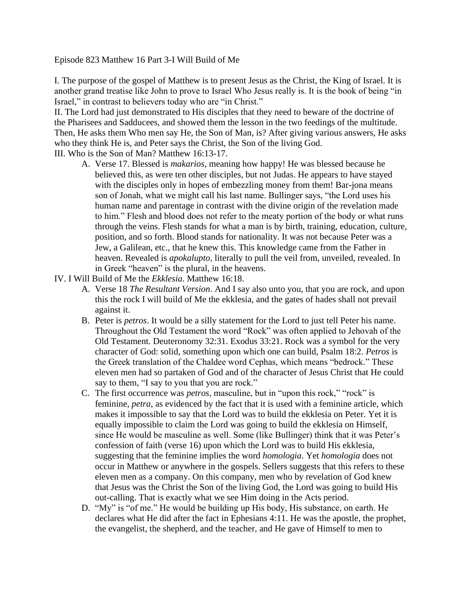Episode 823 Matthew 16 Part 3-I Will Build of Me

I. The purpose of the gospel of Matthew is to present Jesus as the Christ, the King of Israel. It is another grand treatise like John to prove to Israel Who Jesus really is. It is the book of being "in Israel," in contrast to believers today who are "in Christ."

II. The Lord had just demonstrated to His disciples that they need to beware of the doctrine of the Pharisees and Sadducees, and showed them the lesson in the two feedings of the multitude. Then, He asks them Who men say He, the Son of Man, is? After giving various answers, He asks who they think He is, and Peter says the Christ, the Son of the living God.

III. Who is the Son of Man? Matthew 16:13-17.

- A. Verse 17. Blessed is *makarios*, meaning how happy! He was blessed because he believed this, as were ten other disciples, but not Judas. He appears to have stayed with the disciples only in hopes of embezzling money from them! Bar-jona means son of Jonah, what we might call his last name. Bullinger says, "the Lord uses his human name and parentage in contrast with the divine origin of the revelation made to him." Flesh and blood does not refer to the meaty portion of the body or what runs through the veins. Flesh stands for what a man is by birth, training, education, culture, position, and so forth. Blood stands for nationality. It was not because Peter was a Jew, a Galilean, etc., that he knew this. This knowledge came from the Father in heaven. Revealed is *apokalupto*, literally to pull the veil from, unveiled, revealed. In in Greek "heaven" is the plural, in the heavens.
- IV. I Will Build of Me the *Ekklesia*. Matthew 16:18.
	- A. Verse 18 *The Resultant Version*. And I say also unto you, that you are rock, and upon this the rock I will build of Me the ekklesia, and the gates of hades shall not prevail against it.
	- B. Peter is *petros*. It would be a silly statement for the Lord to just tell Peter his name. Throughout the Old Testament the word "Rock" was often applied to Jehovah of the Old Testament. Deuteronomy 32:31. Exodus 33:21. Rock was a symbol for the very character of God: solid, something upon which one can build, Psalm 18:2. *Petros* is the Greek translation of the Chaldee word Cephas, which means "bedrock." These eleven men had so partaken of God and of the character of Jesus Christ that He could say to them, "I say to you that you are rock."
	- C. The first occurrence was *petros*, masculine, but in "upon this rock," "rock" is feminine, *petra*, as evidenced by the fact that it is used with a feminine article, which makes it impossible to say that the Lord was to build the ekklesia on Peter. Yet it is equally impossible to claim the Lord was going to build the ekklesia on Himself, since He would be masculine as well. Some (like Bullinger) think that it was Peter's confession of faith (verse 16) upon which the Lord was to build His ekklesia, suggesting that the feminine implies the word *homologia*. Yet *homologia* does not occur in Matthew or anywhere in the gospels. Sellers suggests that this refers to these eleven men as a company. On this company, men who by revelation of God knew that Jesus was the Christ the Son of the living God, the Lord was going to build His out-calling. That is exactly what we see Him doing in the Acts period.
	- D. "My" is "of me." He would be building up His body, His substance, on earth. He declares what He did after the fact in Ephesians 4:11. He was the apostle, the prophet, the evangelist, the shepherd, and the teacher, and He gave of Himself to men to